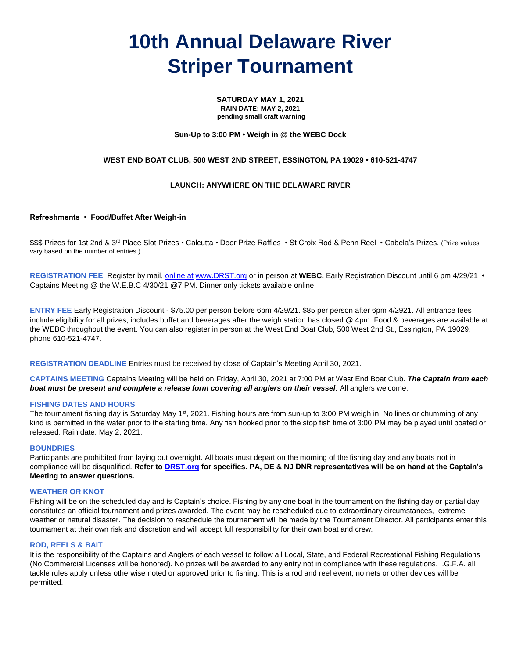# **10th Annual Delaware River Striper Tournament**

**SATURDAY MAY 1, 2021 RAIN DATE: MAY 2, 2021 pending small craft warning**

# **Sun-Up to 3:00 PM • Weigh in @ the WEBC Dock**

# **WEST END BOAT CLUB, 500 WEST 2ND STREET, ESSINGTON, PA 19029 • 610-521-4747**

# **LAUNCH: ANYWHERE ON THE DELAWARE RIVER**

# **Refreshments • Food/Buffet After Weigh-in**

\$\$\$ Prizes for 1st 2nd & 3<sup>rd</sup> Place Slot Prizes • Calcutta • Door Prize Raffles • St Croix Rod & Penn Reel • Cabela's Prizes. (Prize values vary based on the number of entries.)

**REGISTRATION FEE**: Register by mail[, online at](http://www.drst.org/register.html) [www.DRST.org](http://www.drst.org/register.html) or in person at **WEBC.** Early Registration Discount until 6 pm 4/29/21 **•**  Captains Meeting @ the W.E.B.C 4/30/21 @7 PM. Dinner only tickets available online.

**ENTRY FEE** Early Registration Discount - \$75.00 per person before 6pm 4/29/21. \$85 per person after 6pm 4/2921. All entrance fees include eligibility for all prizes; includes buffet and beverages after the weigh station has closed @ 4pm. Food & beverages are available at the WEBC throughout the event. You can also register in person at the West End Boat Club, 500 West 2nd St., Essington, PA 19029, phone 610-521-4747.

**REGISTRATION DEADLINE** Entries must be received by close of Captain's Meeting April 30, 2021.

**CAPTAINS MEETING** Captains Meeting will be held on Friday, April 30, 2021 at 7:00 PM at West End Boat Club. *The Captain from each boat must be present and complete a release form covering all anglers on their vessel*. All anglers welcome.

#### **FISHING DATES AND HOURS**

The tournament fishing day is Saturday May 1<sup>st</sup>, 2021. Fishing hours are from sun-up to 3:00 PM weigh in. No lines or chumming of any kind is permitted in the water prior to the starting time. Any fish hooked prior to the stop fish time of 3:00 PM may be played until boated or released. Rain date: May 2, 2021.

#### **BOUNDRIES**

Participants are prohibited from laying out overnight. All boats must depart on the morning of the fishing day and any boats not in compliance will be disqualified. **Refer to [DRST.org](http://www.drst.org/rules.html) for specifics. PA, DE & NJ DNR representatives will be on hand at the Captain's Meeting to answer questions.**

#### **WEATHER OR KNOT**

Fishing will be on the scheduled day and is Captain's choice. Fishing by any one boat in the tournament on the fishing day or partial day constitutes an official tournament and prizes awarded. The event may be rescheduled due to extraordinary circumstances, extreme weather or natural disaster. The decision to reschedule the tournament will be made by the Tournament Director. All participants enter this tournament at their own risk and discretion and will accept full responsibility for their own boat and crew.

#### **ROD, REELS & BAIT**

It is the responsibility of the Captains and Anglers of each vessel to follow all Local, State, and Federal Recreational Fishing Regulations (No Commercial Licenses will be honored). No prizes will be awarded to any entry not in compliance with these regulations. I.G.F.A. all tackle rules apply unless otherwise noted or approved prior to fishing. This is a rod and reel event; no nets or other devices will be permitted.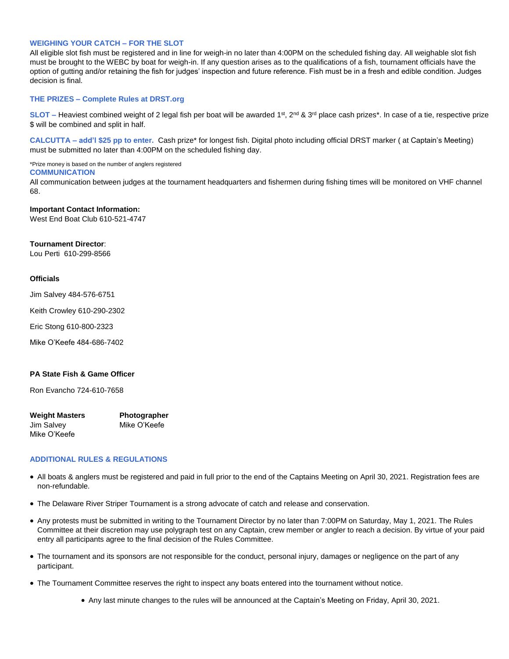# **WEIGHING YOUR CATCH – FOR THE SLOT**

All eligible slot fish must be registered and in line for weigh-in no later than 4:00PM on the scheduled fishing day. All weighable slot fish must be brought to the WEBC by boat for weigh-in. If any question arises as to the qualifications of a fish, tournament officials have the option of gutting and/or retaining the fish for judges' inspection and future reference. Fish must be in a fresh and edible condition. Judges decision is final.

# **THE PRIZES – Complete Rules at DRST.org**

SLOT – Heaviest combined weight of 2 legal fish per boat will be awarded 1<sup>st</sup>, 2<sup>nd</sup> & 3<sup>rd</sup> place cash prizes\*. In case of a tie, respective prize \$ will be combined and split in half.

**CALCUTTA – add'l \$25 pp to enter.** Cash prize\* for longest fish. Digital photo including official DRST marker ( at Captain's Meeting) must be submitted no later than 4:00PM on the scheduled fishing day.

\*Prize money is based on the number of anglers registered

#### **COMMUNICATION**

All communication between judges at the tournament headquarters and fishermen during fishing times will be monitored on VHF channel 68.

# **Important Contact Information:**

West End Boat Club 610-521-4747

#### **Tournament Director**:

Lou Perti 610-299-8566

#### **Officials**

Jim Salvey 484-576-6751

Keith Crowley 610-290-2302

Eric Stong 610-800-2323

Mike O'Keefe 484-686-7402

# **PA State Fish & Game Officer**

Ron Evancho 724-610-7658

| <b>Weight Masters</b> | Photographer |  |
|-----------------------|--------------|--|
| Jim Salvey            | Mike O'Keefe |  |
| Mike O'Keefe          |              |  |

#### **ADDITIONAL RULES & REGULATIONS**

- All boats & anglers must be registered and paid in full prior to the end of the Captains Meeting on April 30, 2021. Registration fees are non-refundable.
- The Delaware River Striper Tournament is a strong advocate of catch and release and conservation.
- Any protests must be submitted in writing to the Tournament Director by no later than 7:00PM on Saturday, May 1, 2021. The Rules Committee at their discretion may use polygraph test on any Captain, crew member or angler to reach a decision. By virtue of your paid entry all participants agree to the final decision of the Rules Committee.
- The tournament and its sponsors are not responsible for the conduct, personal injury, damages or negligence on the part of any participant.
- The Tournament Committee reserves the right to inspect any boats entered into the tournament without notice.
	- Any last minute changes to the rules will be announced at the Captain's Meeting on Friday, April 30, 2021.